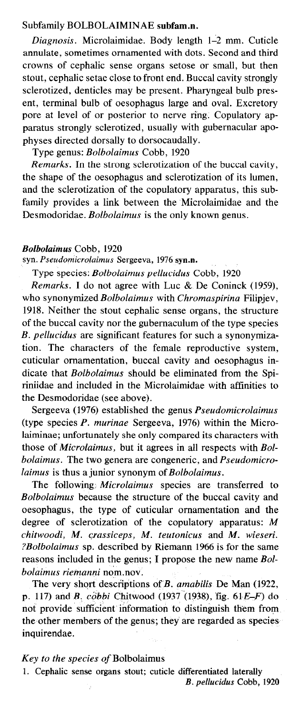## Subfamily BOLBOLAIMINAE subfam.n.

Diagnosis. Microlaimidae. Body length 1-2 mm. Cuticle annulate, sometimes ornamented with dots. Second and third crowns of cephalic sense organs setose or small, but then stout, cephalic setae close to front end. Buccal cavity strongly sclerotized, denticles may be present. Pharyngeal bulb present, terminal bulb of oesophagus large and oval. Excretory pore at level of or posterior to nerve ring. Copulatory apparatus strongly sclerotized, usually with gubernacular apophyses directed dorsally to dorsocaudally.

Type genus: Bolbolaimus Cobb, 1920

Remarks. In the strong sclerotization of the buccal cavity, the shape of the oesophagus and sclerotization of its lumen, and the sclerotization of the copulatory apparatus, this subfamily provides a link between the Microlaimidae and the Desmodoridae. *Bolbolaimus* is the only known genus.

## Bolbolaimus Cobb, 1920

syn. Pseudomicrolaimus Sergeeva, 1976 syn.n.

Type species: Bolbolaimus pellucidus Cobb, 1920

Remarks. I do not agree with Luc & De Coninck (1959), who synonymized Bolbolaimus with Chromaspirina Filipiev, 1918. Neither the stout cephalic sense organs, the structure of the buccal cavity nor the gubernaculum of the type species B. pellucidus are significant features for such a synonymization. The characters of the female reproductive system, cuticular ornamentation, buccal cavity and oesophagus indicate that Bolbolaimus should be eliminated from the Spiriniidae and included in the Microlaimidae with affinities to the Desmodoridae (see above).

Sergeeva (1976) established the genus Pseudomicrolaimus (type species  $P$ . murinae Sergeeva, 1976) within the Microlaiminae; unfortunately she only compared its characters with those of Microlaimus, but it agrees in all respects with Bolbolaimus. The two genera are congeneric, and Pseudomicrolaimus is thus a junior synonym of Bolbolaimus.

The following: Microlaimus species are transferred to Bolbolaimus because the structure of the buccal cavity and oesophagus, the type of cuticular ornamentation and the degree of sclerotization of the copulatory apparatus: M chitwoodi, M. crassiceps, M. teutonicus and M. wieseri. ?Bolbolaimus sp. described by Riemann 1966 is for the same reasons included in the genus; I propose the new name Bolbolaimus riemanni nom nov.

The very short descriptions of B. amabilis De Man (1922, p. 117) and B.  $\tilde{c}$  cobbi Chitwood (1937 (1938), fig. 61 $E$ – $F$ ) do not provide sufficient information to distinguish them from the other members of the genus; they are regarded as species inquirendae.

## Key to the species of Bolbolaimus

1. Cephalic sense organs stout; cuticle differentiated laterally

B. pellucidus Cobb, 1920